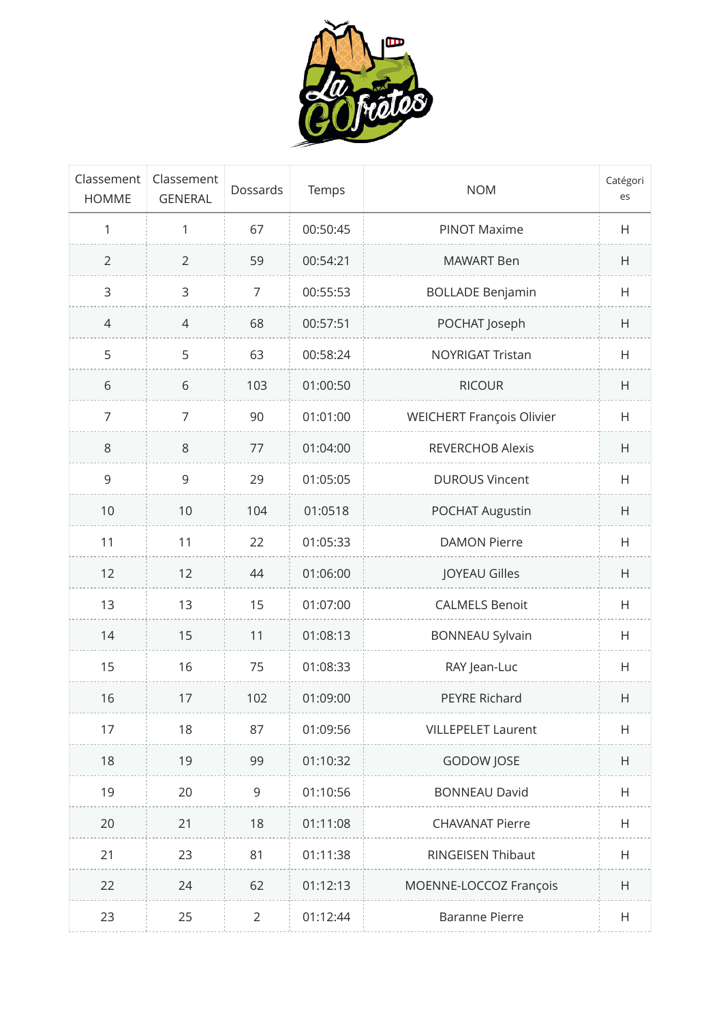

| Classement<br><b>HOMME</b> | Classement<br><b>GENERAL</b> | Dossards       | Temps    | <b>NOM</b>                | Catégori<br>es            |
|----------------------------|------------------------------|----------------|----------|---------------------------|---------------------------|
| 1                          | 1                            | 67             | 00:50:45 | <b>PINOT Maxime</b>       | H                         |
| $\overline{2}$             | $\overline{2}$               | 59             | 00:54:21 | <b>MAWART Ben</b>         | H                         |
| 3                          | 3                            | $\overline{7}$ | 00:55:53 | <b>BOLLADE Benjamin</b>   | H                         |
| $\overline{4}$             | $\overline{4}$               | 68             | 00:57:51 | POCHAT Joseph             | H                         |
| 5                          | 5                            | 63             | 00:58:24 | <b>NOYRIGAT Tristan</b>   | H                         |
| 6                          | 6                            | 103            | 01:00:50 | <b>RICOUR</b>             | H                         |
| $\overline{7}$             | $\overline{7}$               | 90             | 01:01:00 | WEICHERT François Olivier | Н                         |
| 8                          | 8                            | 77             | 01:04:00 | <b>REVERCHOB Alexis</b>   | H                         |
| 9                          | 9                            | 29             | 01:05:05 | <b>DUROUS Vincent</b>     | H                         |
| 10                         | 10                           | 104            | 01:0518  | POCHAT Augustin           | H                         |
| 11                         | 11                           | 22             | 01:05:33 | <b>DAMON Pierre</b>       | H                         |
| 12                         | 12                           | 44             | 01:06:00 | <b>JOYEAU Gilles</b>      | H                         |
| 13                         | 13                           | 15             | 01:07:00 | <b>CALMELS Benoit</b>     | H                         |
| 14                         | 15                           | 11             | 01:08:13 | <b>BONNEAU Sylvain</b>    | Н                         |
| 15                         | 16                           | 75             | 01:08:33 | RAY Jean-Luc              | H                         |
| 16                         | 17                           | 102            | 01:09:00 | <b>PEYRE Richard</b>      | $\mathsf{H}$              |
| 17                         | 18                           | 87             | 01:09:56 | <b>VILLEPELET Laurent</b> | H                         |
| 18                         | 19                           | 99             | 01:10:32 | <b>GODOW JOSE</b>         | H                         |
| 19                         | 20                           | $\mathsf 9$    | 01:10:56 | <b>BONNEAU David</b>      | $\mathsf{H}$              |
| 20                         | 21                           | 18             | 01:11:08 | <b>CHAVANAT Pierre</b>    | $\mathsf{H}$              |
| 21                         | 23                           | 81             | 01:11:38 | RINGEISEN Thibaut         | $\boldsymbol{\mathsf{H}}$ |
| 22                         | 24                           | 62             | 01:12:13 | MOENNE-LOCCOZ François    | $\boldsymbol{\mathsf{H}}$ |
| 23                         | 25                           | $\overline{2}$ | 01:12:44 | <b>Baranne Pierre</b>     | H                         |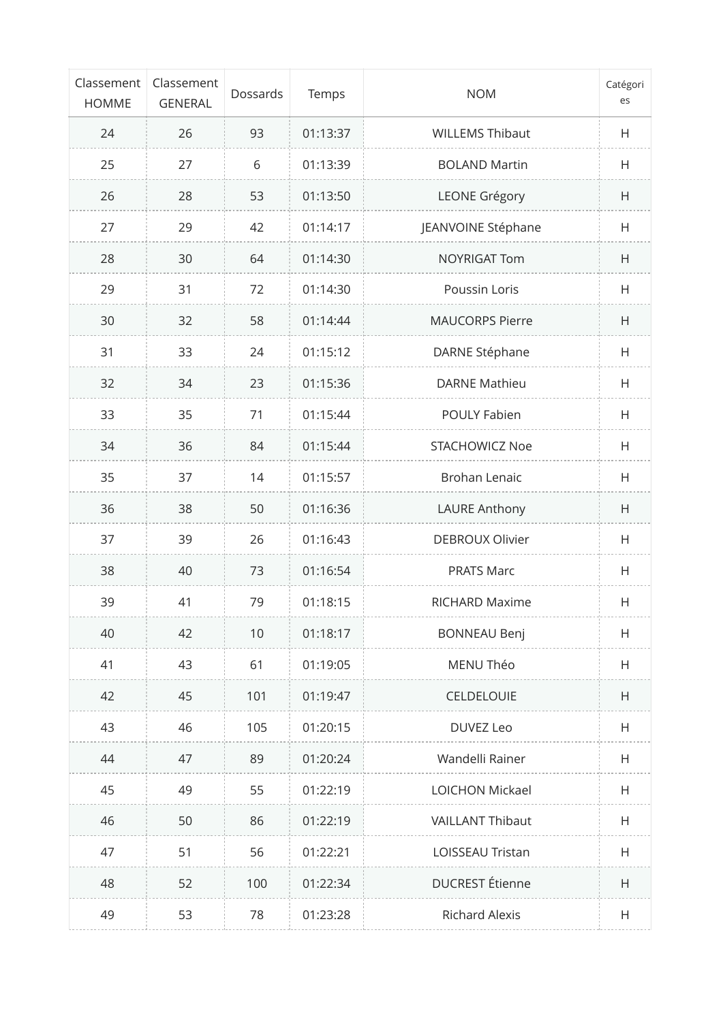| Classement<br><b>HOMME</b> | Classement<br><b>GENERAL</b> | Dossards | Temps    | <b>NOM</b>              | Catégori<br>es |
|----------------------------|------------------------------|----------|----------|-------------------------|----------------|
| 24                         | 26                           | 93       | 01:13:37 | <b>WILLEMS Thibaut</b>  | H              |
| 25                         | 27                           | 6        | 01:13:39 | <b>BOLAND Martin</b>    | H              |
| 26                         | 28                           | 53       | 01:13:50 | LEONE Grégory           | Н              |
| 27                         | 29                           | 42       | 01:14:17 | JEANVOINE Stéphane      | H              |
| 28                         | 30                           | 64       | 01:14:30 | <b>NOYRIGAT Tom</b>     | Н              |
| 29                         | 31                           | 72       | 01:14:30 | Poussin Loris           | H              |
| 30                         | 32                           | 58       | 01:14:44 | <b>MAUCORPS Pierre</b>  | H              |
| 31                         | 33                           | 24       | 01:15:12 | DARNE Stéphane          | H              |
| 32                         | 34                           | 23       | 01:15:36 | <b>DARNE Mathieu</b>    | H              |
| 33                         | 35                           | 71       | 01:15:44 | <b>POULY Fabien</b>     | H              |
| 34                         | 36                           | 84       | 01:15:44 | <b>STACHOWICZ Noe</b>   | H              |
| 35                         | 37                           | 14       | 01:15:57 | <b>Brohan Lenaic</b>    | H              |
| 36                         | 38                           | 50       | 01:16:36 | <b>LAURE Anthony</b>    | Н              |
| 37                         | 39                           | 26       | 01:16:43 | <b>DEBROUX Olivier</b>  | H              |
| 38                         | 40                           | 73       | 01:16:54 | <b>PRATS Marc</b>       | H              |
| 39                         | 41                           | 79       | 01:18:15 | <b>RICHARD Maxime</b>   | Н              |
| 40                         | 42                           | 10       | 01:18:17 | <b>BONNEAU Benj</b>     | Н              |
| 41                         | 43                           | 61       | 01:19:05 | MENU Théo               | H              |
| 42                         | 45                           | 101      | 01:19:47 | CELDELOUIE              | Н              |
| 43                         | 46                           | 105      | 01:20:15 | DUVEZ Leo               | Н              |
| 44                         | 47                           | 89       | 01:20:24 | Wandelli Rainer         | H              |
| 45                         | 49                           | 55       | 01:22:19 | <b>LOICHON Mickael</b>  | H              |
| 46                         | 50                           | 86       | 01:22:19 | <b>VAILLANT Thibaut</b> | H              |
| 47                         | 51                           | 56       | 01:22:21 | LOISSEAU Tristan        | H              |
| 48                         | 52                           | 100      | 01:22:34 | <b>DUCREST</b> Étienne  | H              |
| 49                         | 53                           | 78       | 01:23:28 | <b>Richard Alexis</b>   | H              |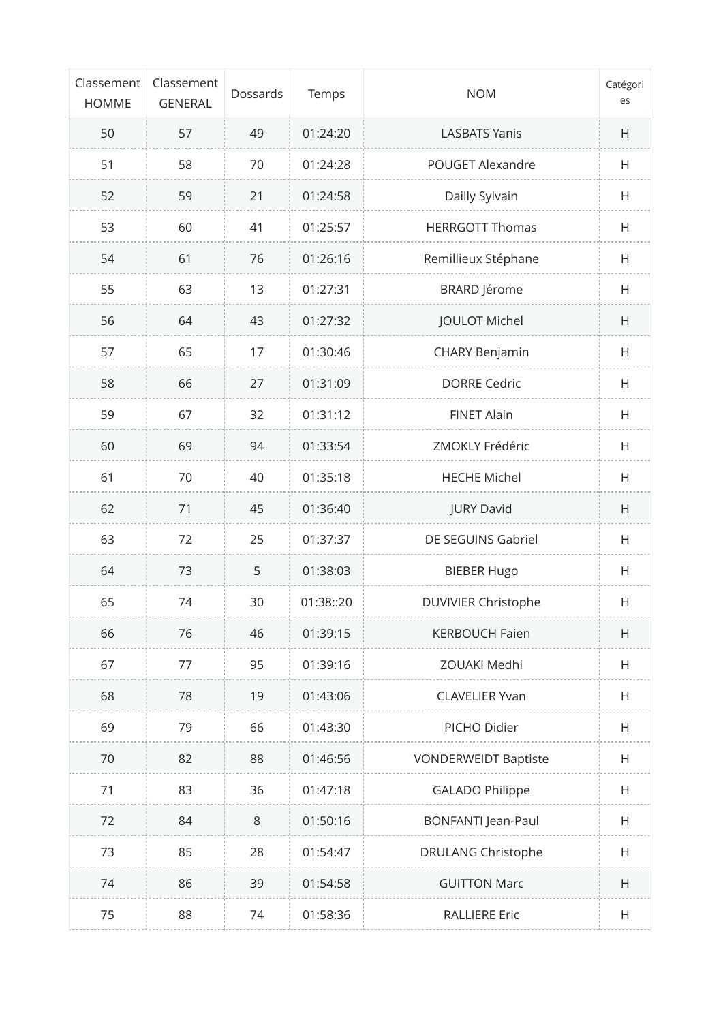| Classement<br><b>HOMME</b> | Classement<br><b>GENERAL</b> | Dossards | Temps     | <b>NOM</b>                  | Catégori<br>es |
|----------------------------|------------------------------|----------|-----------|-----------------------------|----------------|
| 50                         | 57                           | 49       | 01:24:20  | <b>LASBATS Yanis</b>        | H              |
| 51                         | 58                           | 70       | 01:24:28  | <b>POUGET Alexandre</b>     | H              |
| 52                         | 59                           | 21       | 01:24:58  | Dailly Sylvain              | H              |
| 53                         | 60                           | 41       | 01:25:57  | <b>HERRGOTT Thomas</b>      | H              |
| 54                         | 61                           | 76       | 01:26:16  | Remillieux Stéphane         | H              |
| 55                         | 63                           | 13       | 01:27:31  | <b>BRARD Jérome</b>         | H              |
| 56                         | 64                           | 43       | 01:27:32  | <b>JOULOT Michel</b>        | H              |
| 57                         | 65                           | 17       | 01:30:46  | <b>CHARY Benjamin</b>       | H              |
| 58                         | 66                           | 27       | 01:31:09  | <b>DORRE Cedric</b>         | H              |
| 59                         | 67                           | 32       | 01:31:12  | <b>FINET Alain</b>          | H              |
| 60                         | 69                           | 94       | 01:33:54  | ZMOKLY Frédéric             | H              |
| 61                         | 70                           | 40       | 01:35:18  | <b>HECHE Michel</b>         | H              |
| 62                         | 71                           | 45       | 01:36:40  | <b>JURY David</b>           | H              |
| 63                         | 72                           | 25       | 01:37:37  | DE SEGUINS Gabriel          | H              |
| 64                         | 73                           | 5        | 01:38:03  | <b>BIEBER Hugo</b>          | H              |
| 65                         | 74                           | 30       | 01:38::20 | DUVIVIER Christophe         | H              |
| 66                         | 76                           | 46       | 01:39:15  | <b>KERBOUCH Faien</b>       | H              |
| 67                         | 77                           | 95       | 01:39:16  | ZOUAKI Medhi                | H              |
| 68                         | 78                           | 19       | 01:43:06  | <b>CLAVELIER Yvan</b>       | H              |
| 69                         | 79                           | 66       | 01:43:30  | PICHO Didier                | Н              |
| 70                         | 82                           | 88       | 01:46:56  | <b>VONDERWEIDT Baptiste</b> | H              |
| 71                         | 83                           | 36       | 01:47:18  | <b>GALADO Philippe</b>      | H              |
| 72                         | 84                           | 8        | 01:50:16  | <b>BONFANTI Jean-Paul</b>   | H              |
| 73                         | 85                           | 28       | 01:54:47  | DRULANG Christophe          | H              |
| 74                         | 86                           | 39       | 01:54:58  | <b>GUITTON Marc</b>         | H              |
| 75                         | 88                           | 74       | 01:58:36  | <b>RALLIERE Eric</b>        | H              |